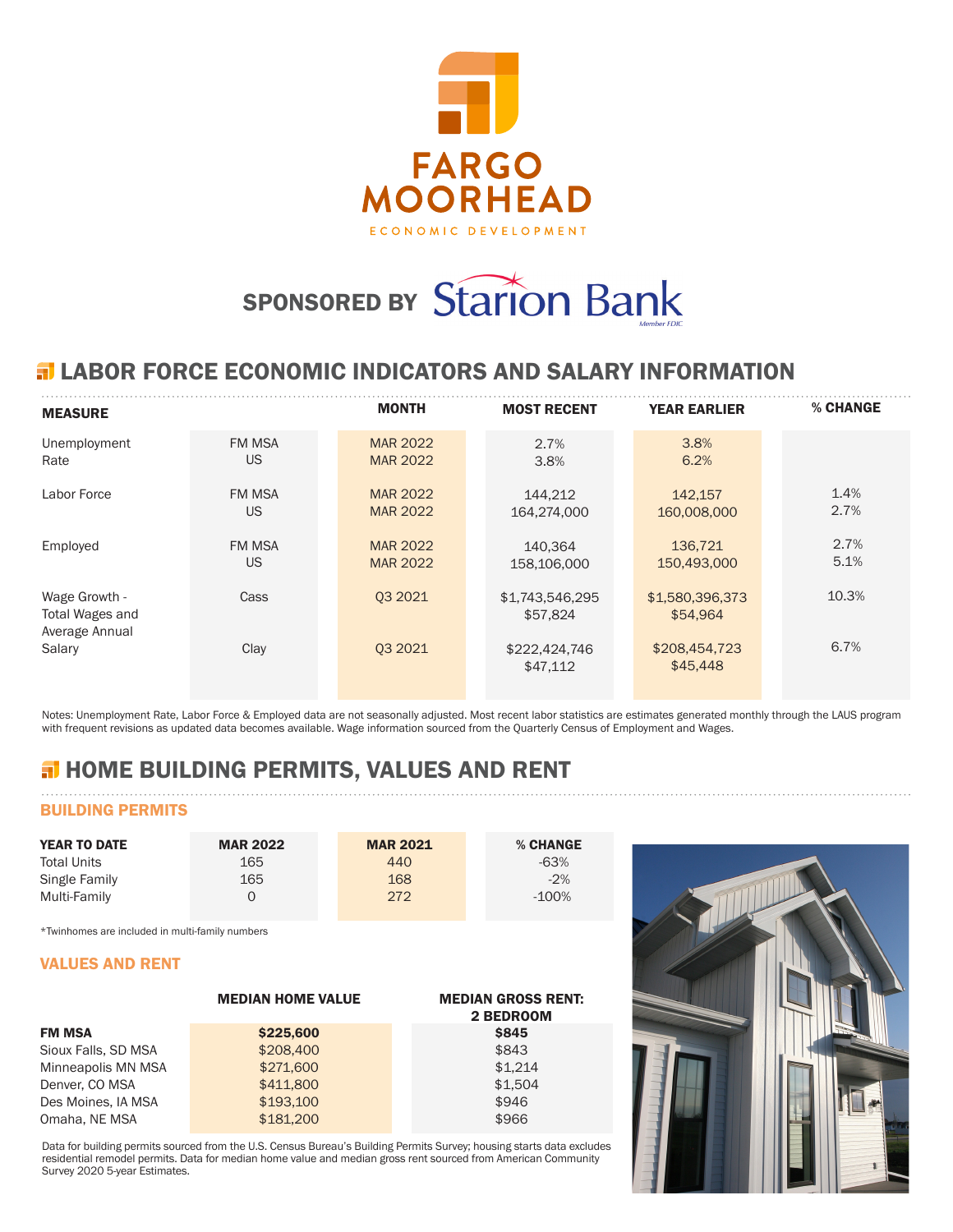

# SPONSORED BY Starion Bank

## **ELABOR FORCE ECONOMIC INDICATORS AND SALARY INFORMATION**

| <b>MEASURE</b>                                     |               | <b>MONTH</b>    | <b>MOST RECENT</b>          | <b>YEAR EARLIER</b>         | % CHANGE |
|----------------------------------------------------|---------------|-----------------|-----------------------------|-----------------------------|----------|
| Unemployment                                       | <b>FM MSA</b> | <b>MAR 2022</b> | 2.7%                        | 3.8%                        |          |
| Rate                                               | US            | <b>MAR 2022</b> | 3.8%                        | 6.2%                        |          |
| Labor Force                                        | <b>FM MSA</b> | <b>MAR 2022</b> | 144,212                     | 142,157                     | 1.4%     |
|                                                    | US            | <b>MAR 2022</b> | 164.274.000                 | 160,008,000                 | 2.7%     |
| Employed                                           | <b>FM MSA</b> | <b>MAR 2022</b> | 140.364                     | 136,721                     | 2.7%     |
|                                                    | US            | <b>MAR 2022</b> | 158,106,000                 | 150,493,000                 | 5.1%     |
| Wage Growth -<br>Total Wages and<br>Average Annual | Cass          | 03 20 21        | \$1,743,546,295<br>\$57,824 | \$1,580,396,373<br>\$54.964 | 10.3%    |
| Salary                                             | Clay          | 03 20 21        | \$222,424,746<br>\$47,112   | \$208,454,723<br>\$45,448   | 6.7%     |

Notes: Unemployment Rate, Labor Force & Employed data are not seasonally adjusted. Most recent labor statistics are estimates generated monthly through the LAUS program with frequent revisions as updated data becomes available. Wage information sourced from the Quarterly Census of Employment and Wages.

# **H** HOME BUILDING PERMITS, VALUES AND RENT

## BUILDING PERMITS

| <b>YEAR TO DATE</b> | <b>MAR 2022</b> | <b>MAR 2021</b> | % CHANGE |
|---------------------|-----------------|-----------------|----------|
| <b>Total Units</b>  | 165             | 440             | $-63%$   |
| Single Family       | 165             | 168             | $-2\%$   |
| Multi-Family        |                 | 272             | $-100\%$ |

\*Twinhomes are included in multi-family numbers

### VALUES AND RENT

|                     | <b>MEDIAN HOME VALUE</b> | <b>MEDIAN GROSS RENT:</b><br>2 BEDROOM |
|---------------------|--------------------------|----------------------------------------|
| <b>FM MSA</b>       | \$225,600                | <b>\$845</b>                           |
| Sioux Falls, SD MSA | \$208,400                | \$843                                  |
| Minneapolis MN MSA  | \$271,600                | \$1.214                                |
| Denver, CO MSA      | \$411,800                | \$1.504                                |
| Des Moines, IA MSA  | \$193,100                | \$946                                  |
| Omaha, NE MSA       | \$181,200                | \$966                                  |

Data for building permits sourced from the U.S. Census Bureau's Building Permits Survey; housing starts data excludes residential remodel permits. Data for median home value and median gross rent sourced from American Community Survey 2020 5-year Estimates.